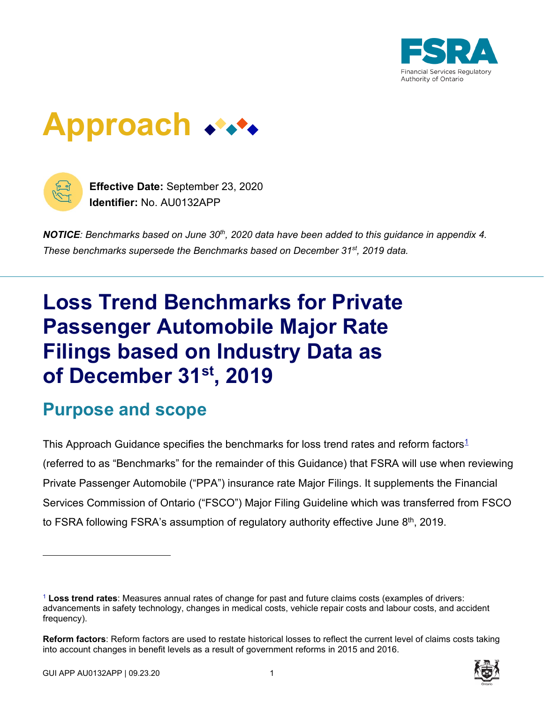





**Effective Date:** September 23, 2020 **Identifier:** No. AU0132APP

*NOTICE: Benchmarks based on June 30th, 2020 data have been added to this guidance in appendix 4. These benchmarks supersede the Benchmarks based on December 31st, 2019 data.*

# **Loss Trend Benchmarks for Private Passenger Automobile Major Rate Filings based on Industry Data as of December 31st, 2019**

### **Purpose and scope**

This Approach Guidance specifies the benchmarks for loss trend rates and reform factors<sup>1</sup> (referred to as "Benchmarks" for the remainder of this Guidance) that FSRA will use when reviewing Private Passenger Automobile ("PPA") insurance rate Major Filings. It supplements the Financial Services Commission of Ontario ("FSCO") Major Filing Guideline which was transferred from FSCO to FSRA following FSRA's assumption of regulatory authority effective June  $8<sup>th</sup>$ , 2019.

**Reform factors**: Reform factors are used to restate historical losses to reflect the current level of claims costs taking into account changes in benefit levels as a result of government reforms in 2015 and 2016.



<sup>1</sup> **Loss trend rates**: Measures annual rates of change for past and future claims costs (examples of drivers: advancements in safety technology, changes in medical costs, vehicle repair costs and labour costs, and accident frequency).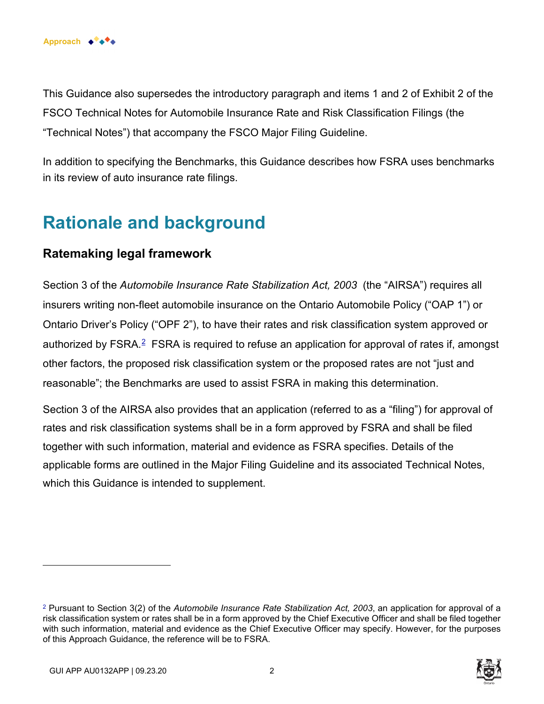

This Guidance also supersedes the introductory paragraph and items 1 and 2 of Exhibit 2 of the FSCO Technical Notes for Automobile Insurance Rate and Risk Classification Filings (the "Technical Notes") that accompany the FSCO Major Filing Guideline.

In addition to specifying the Benchmarks, this Guidance describes how FSRA uses benchmarks in its review of auto insurance rate filings.

### **Rationale and background**

#### **Ratemaking legal framework**

Section 3 of the *Automobile Insurance Rate Stabilization Act, 2003* (the "AIRSA") requires all insurers writing non-fleet automobile insurance on the Ontario Automobile Policy ("OAP 1") or Ontario Driver's Policy ("OPF 2"), to have their rates and risk classification system approved or authorized by FSRA. $<sup>2</sup>$  FSRA is required to refuse an application for approval of rates if, amongst</sup> other factors, the proposed risk classification system or the proposed rates are not "just and reasonable"; the Benchmarks are used to assist FSRA in making this determination.

Section 3 of the AIRSA also provides that an application (referred to as a "filing") for approval of rates and risk classification systems shall be in a form approved by FSRA and shall be filed together with such information, material and evidence as FSRA specifies. Details of the applicable forms are outlined in the Major Filing Guideline and its associated Technical Notes, which this Guidance is intended to supplement.

<sup>2</sup> Pursuant to Section 3(2) of the *Automobile Insurance Rate Stabilization Act, 2003*, an application for approval of a risk classification system or rates shall be in a form approved by the Chief Executive Officer and shall be filed together with such information, material and evidence as the Chief Executive Officer may specify. However, for the purposes of this Approach Guidance, the reference will be to FSRA.

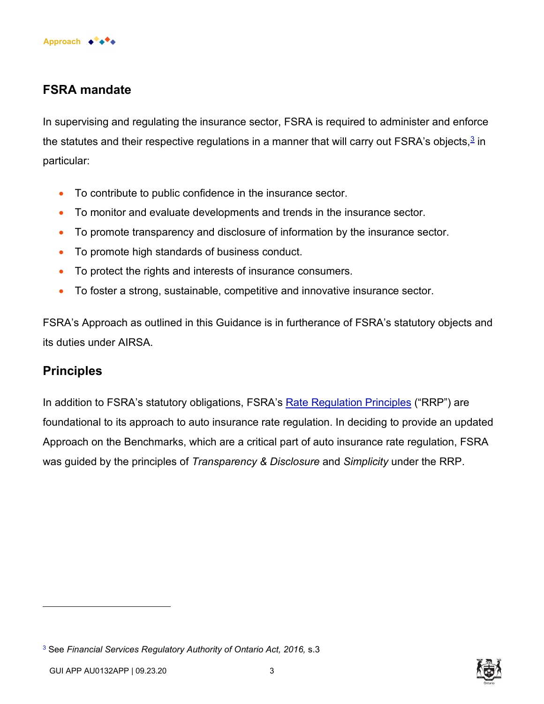

#### **FSRA mandate**

In supervising and regulating the insurance sector, FSRA is required to administer and enforce the statutes and their respective regulations in a manner that will carry out FSRA's objects, $^{\underline{3}}$  in particular:

- To contribute to public confidence in the insurance sector.
- To monitor and evaluate developments and trends in the insurance sector.
- To promote transparency and disclosure of information by the insurance sector.
- To promote high standards of business conduct.
- To protect the rights and interests of insurance consumers.
- To foster a strong, sustainable, competitive and innovative insurance sector.

FSRA's Approach as outlined in this Guidance is in furtherance of FSRA's statutory objects and its duties under AIRSA.

#### **Principles**

In addition to FSRA's statutory obligations, FSRA's [Rate Regulation Principles](https://www.fsrao.ca/industry/auto-insurance-sector/guidance/standard-filing#appendix1) ("RRP") are foundational to its approach to auto insurance rate regulation. In deciding to provide an updated Approach on the Benchmarks, which are a critical part of auto insurance rate regulation, FSRA was guided by the principles of *Transparency & Disclosure* and *Simplicity* under the RRP.



<sup>3</sup> See *Financial Services Regulatory Authority of Ontario Act, 2016,* s.3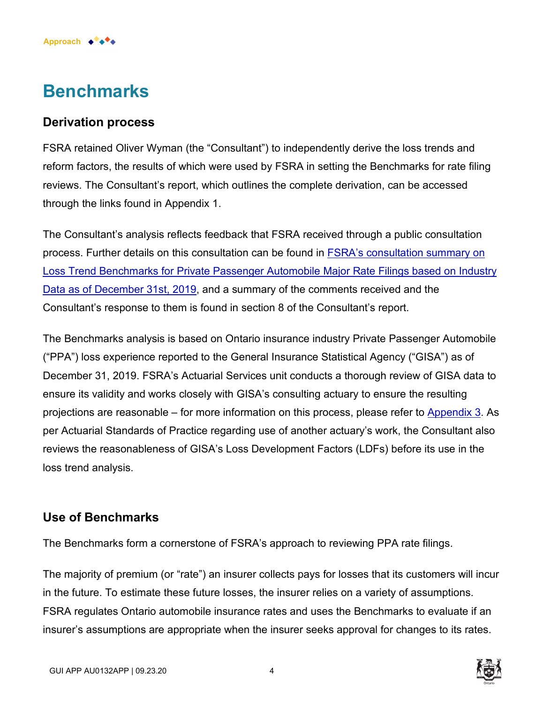### **Benchmarks**

**Approach** ◆ ◆ ◆ ◆

#### **Derivation process**

FSRA retained Oliver Wyman (the "Consultant") to independently derive the loss trends and reform factors, the results of which were used by FSRA in setting the Benchmarks for rate filing reviews. The Consultant's report, which outlines the complete derivation, can be accessed through the links found in Appendix 1.

The Consultant's analysis reflects feedback that FSRA received through a public consultation process. Further details on this consultation can be found in FSRA's consultation summary on [Loss Trend Benchmarks for Private Passenger Automobile Major Rate Filings based on Industry](https://www.fsrao.ca/engagement-and-consultations/public-consultation-fsras-loss-trend-benchmarks-private-passenger-automobile-major-rate-filings/fsras-summary-consultation-loss-trend-benchmarks-private-passenger-automobile-major-rate-filings-based-industry-data) Data as of December 31st, 2019, and a summary of the comments received and the Consultant's response to them is found in section 8 of the Consultant's report.

The Benchmarks analysis is based on Ontario insurance industry Private Passenger Automobile ("PPA") loss experience reported to the General Insurance Statistical Agency ("GISA") as of December 31, 2019. FSRA's Actuarial Services unit conducts a thorough review of GISA data to ensure its validity and works closely with GISA's consulting actuary to ensure the resulting projections are reasonable – for more information on this process, please refer to [Appendix 3](https://www.fsrao.ca/fr/pour-le-secteur/secteur-de-lassurance-automobile/lignes-directrices/taux-de-reference-des-tendances-en-matiere-de-sinistres-pour-les-depots-de-taux-en-formule-integrale-visant-les-voitures-de-tourisme-dapres-les-donnees-de-lindustrie-au-31-decembre-2019#appendix3). As per Actuarial Standards of Practice regarding use of another actuary's work, the Consultant also reviews the reasonableness of GISA's Loss Development Factors (LDFs) before its use in the loss trend analysis.

#### **Use of Benchmarks**

The Benchmarks form a cornerstone of FSRA's approach to reviewing PPA rate filings.

The majority of premium (or "rate") an insurer collects pays for losses that its customers will incur in the future. To estimate these future losses, the insurer relies on a variety of assumptions. FSRA regulates Ontario automobile insurance rates and uses the Benchmarks to evaluate if an insurer's assumptions are appropriate when the insurer seeks approval for changes to its rates.

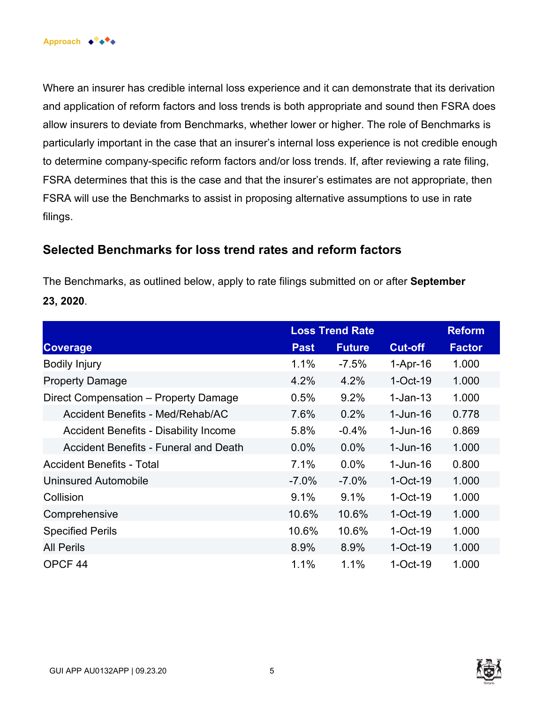Where an insurer has credible internal loss experience and it can demonstrate that its derivation and application of reform factors and loss trends is both appropriate and sound then FSRA does allow insurers to deviate from Benchmarks, whether lower or higher. The role of Benchmarks is particularly important in the case that an insurer's internal loss experience is not credible enough to determine company-specific reform factors and/or loss trends. If, after reviewing a rate filing, FSRA determines that this is the case and that the insurer's estimates are not appropriate, then FSRA will use the Benchmarks to assist in proposing alternative assumptions to use in rate filings.

#### **Selected Benchmarks for loss trend rates and reform factors**

The Benchmarks, as outlined below, apply to rate filings submitted on or after **September 23, 2020**.

|                                              | <b>Loss Trend Rate</b> |               |                | <b>Reform</b> |
|----------------------------------------------|------------------------|---------------|----------------|---------------|
| <b>Coverage</b>                              | <b>Past</b>            | <b>Future</b> | <b>Cut-off</b> | <b>Factor</b> |
| <b>Bodily Injury</b>                         | 1.1%                   | $-7.5%$       | $1-Apr-16$     | 1.000         |
| <b>Property Damage</b>                       | 4.2%                   | 4.2%          | $1$ -Oct-19    | 1.000         |
| Direct Compensation - Property Damage        | 0.5%                   | 9.2%          | $1-Jan-13$     | 1.000         |
| Accident Benefits - Med/Rehab/AC             | 7.6%                   | 0.2%          | $1 - Jun-16$   | 0.778         |
| <b>Accident Benefits - Disability Income</b> | 5.8%                   | $-0.4%$       | $1 - Jun-16$   | 0.869         |
| <b>Accident Benefits - Funeral and Death</b> | $0.0\%$                | $0.0\%$       | $1 - Jun-16$   | 1.000         |
| <b>Accident Benefits - Total</b>             | 7.1%                   | 0.0%          | $1 - Jun-16$   | 0.800         |
| Uninsured Automobile                         | $-7.0\%$               | $-7.0%$       | $1-Oct-19$     | 1.000         |
| Collision                                    | 9.1%                   | 9.1%          | $1-Oct-19$     | 1.000         |
| Comprehensive                                | 10.6%                  | 10.6%         | $1-Oct-19$     | 1.000         |
| <b>Specified Perils</b>                      | 10.6%                  | 10.6%         | $1-Oct-19$     | 1.000         |
| <b>All Perils</b>                            | 8.9%                   | 8.9%          | $1-Oct-19$     | 1.000         |
| OPCF <sub>44</sub>                           | 1.1%                   | 1.1%          | $1-Oct-19$     | 1.000         |

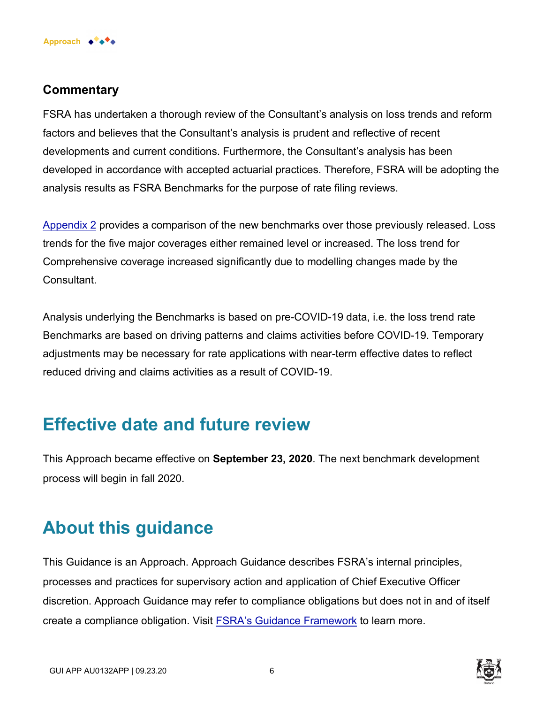

#### **Commentary**

FSRA has undertaken a thorough review of the Consultant's analysis on loss trends and reform factors and believes that the Consultant's analysis is prudent and reflective of recent developments and current conditions. Furthermore, the Consultant's analysis has been developed in accordance with accepted actuarial practices. Therefore, FSRA will be adopting the analysis results as FSRA Benchmarks for the purpose of rate filing reviews.

[Appendix 2](https://www.fsrao.ca/fr/pour-le-secteur/secteur-de-lassurance-automobile/lignes-directrices/taux-de-reference-des-tendances-en-matiere-de-sinistres-pour-les-depots-de-taux-en-formule-integrale-visant-les-voitures-de-tourisme-dapres-les-donnees-de-lindustrie-au-31-decembre-2019#appendix2) provides a comparison of the new benchmarks over those previously released. Loss trends for the five major coverages either remained level or increased. The loss trend for Comprehensive coverage increased significantly due to modelling changes made by the Consultant.

Analysis underlying the Benchmarks is based on pre-COVID-19 data, i.e. the loss trend rate Benchmarks are based on driving patterns and claims activities before COVID-19. Temporary adjustments may be necessary for rate applications with near-term effective dates to reflect reduced driving and claims activities as a result of COVID-19.

### **Effective date and future review**

This Approach became effective on **September 23, 2020**. The next benchmark development process will begin in fall 2020.

### **About this guidance**

This Guidance is an Approach. Approach Guidance describes FSRA's internal principles, processes and practices for supervisory action and application of Chief Executive Officer discretion. Approach Guidance may refer to compliance obligations but does not in and of itself create a compliance obligation. Visit [FSRA's Guidance Framework](https://www.fsrao.ca/regulation/guidance/fsra-guidance-framework) to learn more.

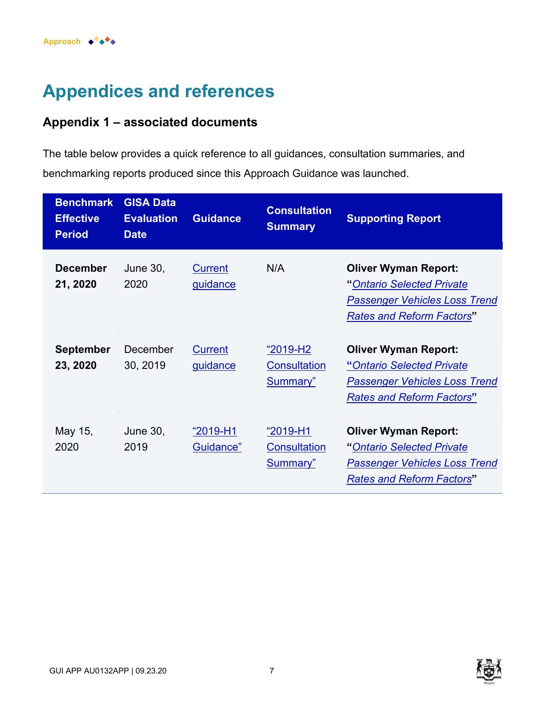## **Appendices and references**

#### **Appendix 1 – associated documents**

The table below provides a quick reference to all guidances, consultation summaries, and benchmarking reports produced since this Approach Guidance was launched.

| <b>Benchmark</b><br><b>Effective</b><br><b>Period</b> | <b>GISA Data</b><br><b>Evaluation</b><br><b>Date</b> | <b>Guidance</b>                   | <b>Consultation</b><br><b>Summary</b>                  | <b>Supporting Report</b>                                                                                                             |
|-------------------------------------------------------|------------------------------------------------------|-----------------------------------|--------------------------------------------------------|--------------------------------------------------------------------------------------------------------------------------------------|
| <b>December</b><br>21, 2020                           | <b>June 30,</b><br>2020                              | <b>Current</b><br><u>guidance</u> | N/A                                                    | <b>Oliver Wyman Report:</b><br>"Ontario Selected Private<br><b>Passenger Vehicles Loss Trend</b><br><b>Rates and Reform Factors"</b> |
| <b>September</b><br>23, 2020                          | December<br>30, 2019                                 | <b>Current</b><br><u>guidance</u> | $"2019-H2"$<br><b>Consultation</b><br><b>Summary</b> " | <b>Oliver Wyman Report:</b><br>"Ontario Selected Private<br><b>Passenger Vehicles Loss Trend</b><br><b>Rates and Reform Factors"</b> |
| May 15,<br>2020                                       | June 30,<br>2019                                     | $"2019-H1"$<br>Guidance"          | "2019-H1<br><b>Consultation</b><br>Summary"            | <b>Oliver Wyman Report:</b><br>"Ontario Selected Private<br><b>Passenger Vehicles Loss Trend</b><br><b>Rates and Reform Factors"</b> |

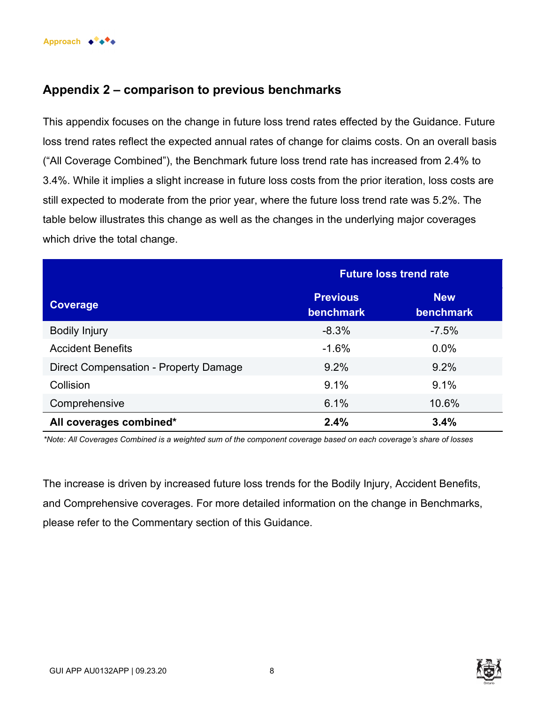

#### **Appendix 2 – comparison to previous benchmarks**

This appendix focuses on the change in future loss trend rates effected by the Guidance. Future loss trend rates reflect the expected annual rates of change for claims costs. On an overall basis ("All Coverage Combined"), the Benchmark future loss trend rate has increased from 2.4% to 3.4%. While it implies a slight increase in future loss costs from the prior iteration, loss costs are still expected to moderate from the prior year, where the future loss trend rate was 5.2%. The table below illustrates this change as well as the changes in the underlying major coverages which drive the total change.

|                                       | <b>Future loss trend rate</b>       |                         |  |
|---------------------------------------|-------------------------------------|-------------------------|--|
| Coverage                              | <b>Previous</b><br><b>benchmark</b> | <b>New</b><br>benchmark |  |
| <b>Bodily Injury</b>                  | $-8.3%$                             | $-7.5%$                 |  |
| <b>Accident Benefits</b>              | $-1.6%$                             | 0.0%                    |  |
| Direct Compensation - Property Damage | 9.2%                                | 9.2%                    |  |
| Collision                             | 9.1%                                | 9.1%                    |  |
| Comprehensive                         | 6.1%                                | 10.6%                   |  |
| All coverages combined*               | 2.4%                                | 3.4%                    |  |

*\*Note: All Coverages Combined is a weighted sum of the component coverage based on each coverage's share of losses*

The increase is driven by increased future loss trends for the Bodily Injury, Accident Benefits, and Comprehensive coverages. For more detailed information on the change in Benchmarks, please refer to the Commentary section of this Guidance.



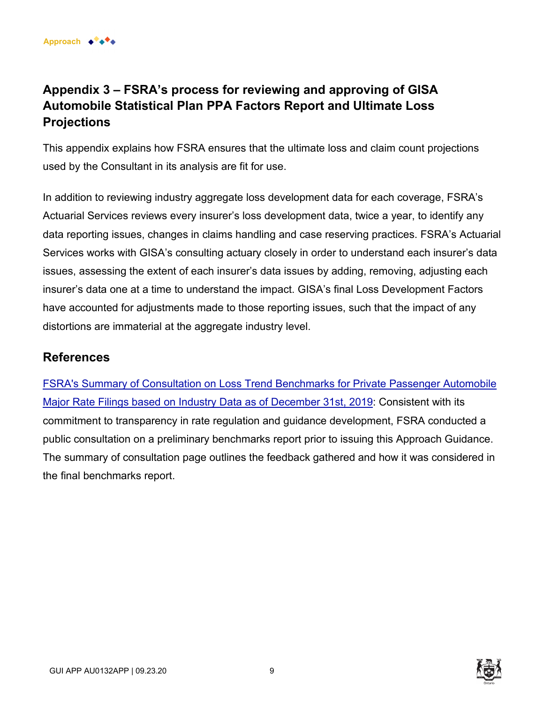#### **Appendix 3 – FSRA's process for reviewing and approving of GISA Automobile Statistical Plan PPA Factors Report and Ultimate Loss Projections**

This appendix explains how FSRA ensures that the ultimate loss and claim count projections used by the Consultant in its analysis are fit for use.

In addition to reviewing industry aggregate loss development data for each coverage, FSRA's Actuarial Services reviews every insurer's loss development data, twice a year, to identify any data reporting issues, changes in claims handling and case reserving practices. FSRA's Actuarial Services works with GISA's consulting actuary closely in order to understand each insurer's data issues, assessing the extent of each insurer's data issues by adding, removing, adjusting each insurer's data one at a time to understand the impact. GISA's final Loss Development Factors have accounted for adjustments made to those reporting issues, such that the impact of any distortions are immaterial at the aggregate industry level.

#### **References**

[FSRA's Summary of Consultation on Loss Trend Benchmarks for Private Passenger Automobile](https://www.fsrao.ca/engagement-and-consultations/public-consultation-fsras-loss-trend-benchmarks-private-passenger-automobile-major-rate-filings/fsras-summary-consultation-loss-trend-benchmarks-private-passenger-automobile-major-rate-filings-based-industry-data)  Major Rate Filings based on Industry Data as of December 31st, 2019: Consistent with its commitment to transparency in rate regulation and guidance development, FSRA conducted a public consultation on a preliminary benchmarks report prior to issuing this Approach Guidance. The summary of consultation page outlines the feedback gathered and how it was considered in the final benchmarks report.